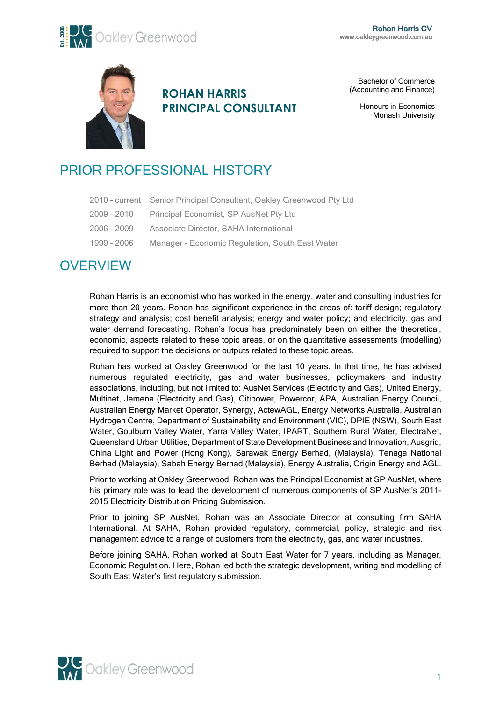



# **ROHAN HARRIS PRINCIPAL CONSULTANT**

Bachelor of Commerce (Accounting and Finance)

> Honours in Economics Monash University

# PRIOR PROFESSIONAL HISTORY

|             | 2010 - current Senior Principal Consultant, Oakley Greenwood Pty Ltd |
|-------------|----------------------------------------------------------------------|
| 2009 - 2010 | Principal Economist, SP AusNet Pty Ltd                               |
| 2006 - 2009 | Associate Director, SAHA International                               |
| 1999 - 2006 | Manager - Economic Regulation, South East Water                      |

# **OVERVIEW**

Rohan Harris is an economist who has worked in the energy, water and consulting industries for more than 20 years. Rohan has significant experience in the areas of: tariff design; regulatory strategy and analysis; cost benefit analysis; energy and water policy; and electricity, gas and water demand forecasting. Rohan's focus has predominately been on either the theoretical, economic, aspects related to these topic areas, or on the quantitative assessments (modelling) required to support the decisions or outputs related to these topic areas.

Rohan has worked at Oakley Greenwood for the last 10 years. In that time, he has advised numerous regulated electricity, gas and water businesses, policymakers and industry associations, including, but not limited to: AusNet Services (Electricity and Gas), United Energy, Multinet, Jemena (Electricity and Gas), Citipower, Powercor, APA, Australian Energy Council, Australian Energy Market Operator, Synergy, ActewAGL, Energy Networks Australia, Australian Hydrogen Centre, Department of Sustainability and Environment (VIC), DPIE (NSW), South East Water, Goulburn Valley Water, Yarra Valley Water, IPART, Southern Rural Water, ElectraNet, Queensland Urban Utilities, Department of State Development Business and Innovation, Ausgrid, China Light and Power (Hong Kong), Sarawak Energy Berhad, (Malaysia), Tenaga National Berhad (Malaysia), Sabah Energy Berhad (Malaysia), Energy Australia, Origin Energy and AGL.

Prior to working at Oakley Greenwood, Rohan was the Principal Economist at SP AusNet, where his primary role was to lead the development of numerous components of SP AusNet's 2011- 2015 Electricity Distribution Pricing Submission.

Prior to joining SP AusNet, Rohan was an Associate Director at consulting firm SAHA International. At SAHA, Rohan provided regulatory, commercial, policy, strategic and risk management advice to a range of customers from the electricity, gas, and water industries.

Before joining SAHA, Rohan worked at South East Water for 7 years, including as Manager, Economic Regulation. Here, Rohan led both the strategic development, writing and modelling of South East Water's first regulatory submission.

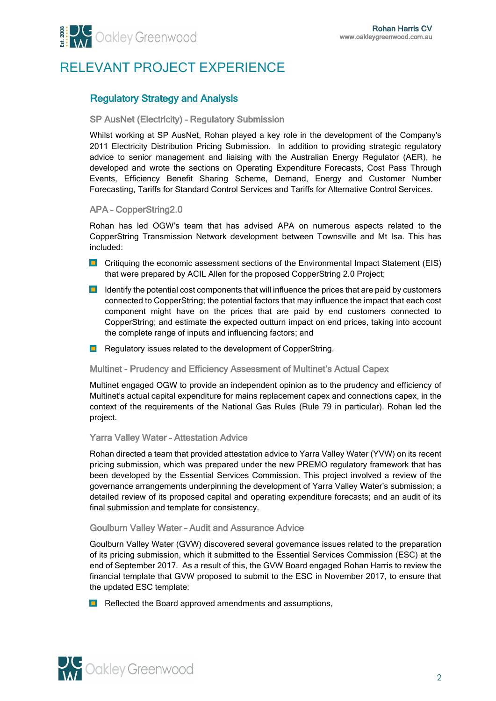

# RELEVANT PROJECT EXPERIENCE

# Regulatory Strategy and Analysis

#### SP AusNet (Electricity) – Regulatory Submission

Whilst working at SP AusNet, Rohan played a key role in the development of the Company's 2011 Electricity Distribution Pricing Submission. In addition to providing strategic regulatory advice to senior management and liaising with the Australian Energy Regulator (AER), he developed and wrote the sections on Operating Expenditure Forecasts, Cost Pass Through Events, Efficiency Benefit Sharing Scheme, Demand, Energy and Customer Number Forecasting, Tariffs for Standard Control Services and Tariffs for Alternative Control Services.

#### APA – CopperString2.0

Rohan has led OGW's team that has advised APA on numerous aspects related to the CopperString Transmission Network development between Townsville and Mt Isa. This has included:

- **Critiquing the economic assessment sections of the Environmental Impact Statement (EIS)** that were prepared by ACIL Allen for the proposed CopperString 2.0 Project;
- $\blacksquare$ Identify the potential cost components that will influence the prices that are paid by customers connected to CopperString; the potential factors that may influence the impact that each cost component might have on the prices that are paid by end customers connected to CopperString; and estimate the expected outturn impact on end prices, taking into account the complete range of inputs and influencing factors; and
- **Regulatory issues related to the development of CopperString.**

#### Multinet - Prudency and Efficiency Assessment of Multinet's Actual Capex

Multinet engaged OGW to provide an independent opinion as to the prudency and efficiency of Multinet's actual capital expenditure for mains replacement capex and connections capex, in the context of the requirements of the National Gas Rules (Rule 79 in particular). Rohan led the project.

#### Yarra Valley Water – Attestation Advice

Rohan directed a team that provided attestation advice to Yarra Valley Water (YVW) on its recent pricing submission, which was prepared under the new PREMO regulatory framework that has been developed by the Essential Services Commission. This project involved a review of the governance arrangements underpinning the development of Yarra Valley Water's submission; a detailed review of its proposed capital and operating expenditure forecasts; and an audit of its final submission and template for consistency.

#### Goulburn Valley Water – Audit and Assurance Advice

Goulburn Valley Water (GVW) discovered several governance issues related to the preparation of its pricing submission, which it submitted to the Essential Services Commission (ESC) at the end of September 2017. As a result of this, the GVW Board engaged Rohan Harris to review the financial template that GVW proposed to submit to the ESC in November 2017, to ensure that the updated ESC template:

 $\blacksquare$  Reflected the Board approved amendments and assumptions,

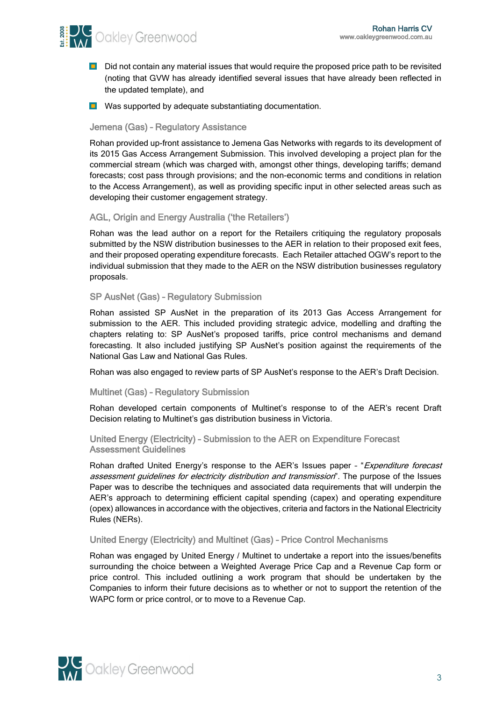**Let Cookley Greenwood** 

- **D** Did not contain any material issues that would require the proposed price path to be revisited (noting that GVW has already identified several issues that have already been reflected in the updated template), and
- **Now** Was supported by adequate substantiating documentation.

## Jemena (Gas) – Regulatory Assistance

Rohan provided up-front assistance to Jemena Gas Networks with regards to its development of its 2015 Gas Access Arrangement Submission. This involved developing a project plan for the commercial stream (which was charged with, amongst other things, developing tariffs; demand forecasts; cost pass through provisions; and the non-economic terms and conditions in relation to the Access Arrangement), as well as providing specific input in other selected areas such as developing their customer engagement strategy.

## AGL, Origin and Energy Australia ('the Retailers')

Rohan was the lead author on a report for the Retailers critiquing the regulatory proposals submitted by the NSW distribution businesses to the AER in relation to their proposed exit fees, and their proposed operating expenditure forecasts. Each Retailer attached OGW's report to the individual submission that they made to the AER on the NSW distribution businesses regulatory proposals.

#### SP AusNet (Gas) – Regulatory Submission

Rohan assisted SP AusNet in the preparation of its 2013 Gas Access Arrangement for submission to the AER. This included providing strategic advice, modelling and drafting the chapters relating to: SP AusNet's proposed tariffs, price control mechanisms and demand forecasting. It also included justifying SP AusNet's position against the requirements of the National Gas Law and National Gas Rules.

Rohan was also engaged to review parts of SP AusNet's response to the AER's Draft Decision.

Multinet (Gas) – Regulatory Submission

Rohan developed certain components of Multinet's response to of the AER's recent Draft Decision relating to Multinet's gas distribution business in Victoria.

United Energy (Electricity) – Submission to the AER on Expenditure Forecast Assessment Guidelines

Rohan drafted United Energy's response to the AER's Issues paper - "Expenditure forecast assessment guidelines for electricity distribution and transmission". The purpose of the Issues Paper was to describe the techniques and associated data requirements that will underpin the AER's approach to determining efficient capital spending (capex) and operating expenditure (opex) allowances in accordance with the objectives, criteria and factors in the National Electricity Rules (NERs).

#### United Energy (Electricity) and Multinet (Gas) – Price Control Mechanisms

Rohan was engaged by United Energy / Multinet to undertake a report into the issues/benefits surrounding the choice between a Weighted Average Price Cap and a Revenue Cap form or price control. This included outlining a work program that should be undertaken by the Companies to inform their future decisions as to whether or not to support the retention of the WAPC form or price control, or to move to a Revenue Cap.

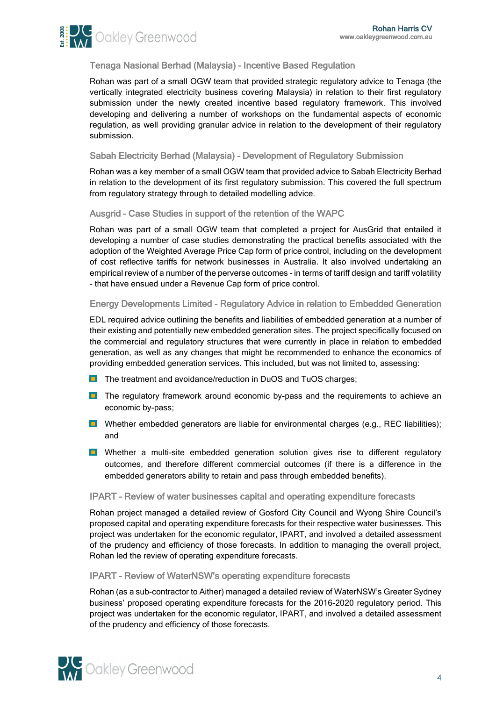**A: UC** Oakley Greenwood

## Tenaga Nasional Berhad (Malaysia) – Incentive Based Regulation

Rohan was part of a small OGW team that provided strategic regulatory advice to Tenaga (the vertically integrated electricity business covering Malaysia) in relation to their first regulatory submission under the newly created incentive based regulatory framework. This involved developing and delivering a number of workshops on the fundamental aspects of economic regulation, as well providing granular advice in relation to the development of their regulatory submission.

## Sabah Electricity Berhad (Malaysia) – Development of Regulatory Submission

Rohan was a key member of a small OGW team that provided advice to Sabah Electricity Berhad in relation to the development of its first regulatory submission. This covered the full spectrum from regulatory strategy through to detailed modelling advice.

## Ausgrid – Case Studies in support of the retention of the WAPC

Rohan was part of a small OGW team that completed a project for AusGrid that entailed it developing a number of case studies demonstrating the practical benefits associated with the adoption of the Weighted Average Price Cap form of price control, including on the development of cost reflective tariffs for network businesses in Australia. It also involved undertaking an empirical review of a number of the perverse outcomes – in terms of tariff design and tariff volatility - that have ensued under a Revenue Cap form of price control.

#### Energy Developments Limited - Regulatory Advice in relation to Embedded Generation

EDL required advice outlining the benefits and liabilities of embedded generation at a number of their existing and potentially new embedded generation sites. The project specifically focused on the commercial and regulatory structures that were currently in place in relation to embedded generation, as well as any changes that might be recommended to enhance the economics of providing embedded generation services. This included, but was not limited to, assessing:

- **T** The treatment and avoidance/reduction in DuOS and TuOS charges;
- **The regulatory framework around economic by-pass and the requirements to achieve an** economic by-pass;
- **D** Whether embedded generators are liable for environmental charges (e.g., REC liabilities); and
- **D** Whether a multi-site embedded generation solution gives rise to different regulatory outcomes, and therefore different commercial outcomes (if there is a difference in the embedded generators ability to retain and pass through embedded benefits).

#### IPART – Review of water businesses capital and operating expenditure forecasts

Rohan project managed a detailed review of Gosford City Council and Wyong Shire Council's proposed capital and operating expenditure forecasts for their respective water businesses. This project was undertaken for the economic regulator, IPART, and involved a detailed assessment of the prudency and efficiency of those forecasts. In addition to managing the overall project, Rohan led the review of operating expenditure forecasts.

## IPART – Review of WaterNSW's operating expenditure forecasts

Rohan (as a sub-contractor to Aither) managed a detailed review of WaterNSW's Greater Sydney business' proposed operating expenditure forecasts for the 2016-2020 regulatory period. This project was undertaken for the economic regulator, IPART, and involved a detailed assessment of the prudency and efficiency of those forecasts.

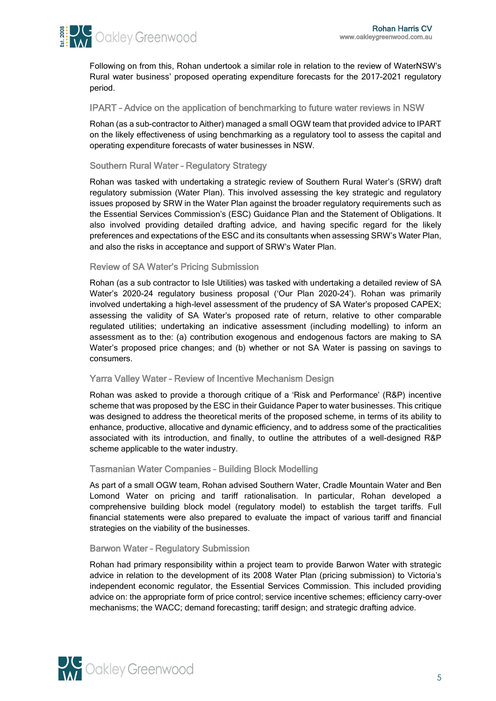

Following on from this, Rohan undertook a similar role in relation to the review of WaterNSW's Rural water business' proposed operating expenditure forecasts for the 2017-2021 regulatory period.

IPART – Advice on the application of benchmarking to future water reviews in NSW

Rohan (as a sub-contractor to Aither) managed a small OGW team that provided advice to IPART on the likely effectiveness of using benchmarking as a regulatory tool to assess the capital and operating expenditure forecasts of water businesses in NSW.

#### Southern Rural Water – Regulatory Strategy

Rohan was tasked with undertaking a strategic review of Southern Rural Water's (SRW) draft regulatory submission (Water Plan). This involved assessing the key strategic and regulatory issues proposed by SRW in the Water Plan against the broader regulatory requirements such as the Essential Services Commission's (ESC) Guidance Plan and the Statement of Obligations. It also involved providing detailed drafting advice, and having specific regard for the likely preferences and expectations of the ESC and its consultants when assessing SRW's Water Plan, and also the risks in acceptance and support of SRW's Water Plan.

#### Review of SA Water's Pricing Submission

Rohan (as a sub contractor to Isle Utilities) was tasked with undertaking a detailed review of SA Water's 2020-24 regulatory business proposal ('Our Plan 2020-24'). Rohan was primarily involved undertaking a high-level assessment of the prudency of SA Water's proposed CAPEX; assessing the validity of SA Water's proposed rate of return, relative to other comparable regulated utilities; undertaking an indicative assessment (including modelling) to inform an assessment as to the: (a) contribution exogenous and endogenous factors are making to SA Water's proposed price changes; and (b) whether or not SA Water is passing on savings to consumers.

#### Yarra Valley Water – Review of Incentive Mechanism Design

Rohan was asked to provide a thorough critique of a 'Risk and Performance' (R&P) incentive scheme that was proposed by the ESC in their Guidance Paper to water businesses. This critique was designed to address the theoretical merits of the proposed scheme, in terms of its ability to enhance, productive, allocative and dynamic efficiency, and to address some of the practicalities associated with its introduction, and finally, to outline the attributes of a well-designed R&P scheme applicable to the water industry.

#### Tasmanian Water Companies – Building Block Modelling

As part of a small OGW team, Rohan advised Southern Water, Cradle Mountain Water and Ben Lomond Water on pricing and tariff rationalisation. In particular, Rohan developed a comprehensive building block model (regulatory model) to establish the target tariffs. Full financial statements were also prepared to evaluate the impact of various tariff and financial strategies on the viability of the businesses.

#### Barwon Water – Regulatory Submission

Rohan had primary responsibility within a project team to provide Barwon Water with strategic advice in relation to the development of its 2008 Water Plan (pricing submission) to Victoria's independent economic regulator, the Essential Services Commission. This included providing advice on: the appropriate form of price control; service incentive schemes; efficiency carry-over mechanisms; the WACC; demand forecasting; tariff design; and strategic drafting advice.

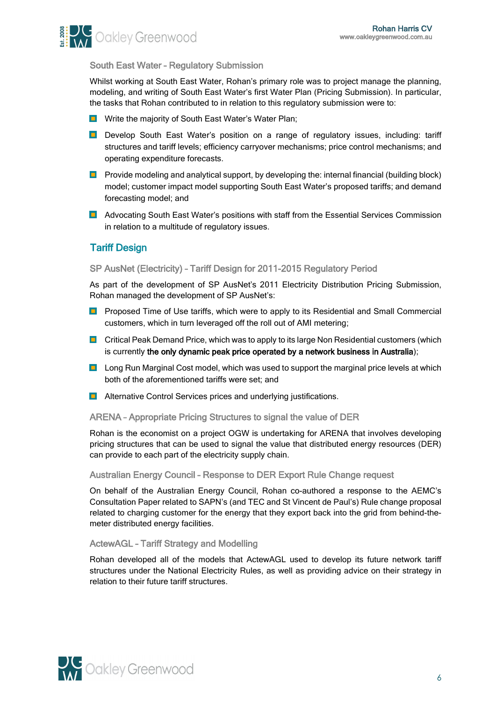

#### South East Water – Regulatory Submission

Whilst working at South East Water, Rohan's primary role was to project manage the planning, modeling, and writing of South East Water's first Water Plan (Pricing Submission). In particular, the tasks that Rohan contributed to in relation to this regulatory submission were to:

- **T** Write the majority of South East Water's Water Plan;
- **D** Develop South East Water's position on a range of regulatory issues, including: tariff structures and tariff levels; efficiency carryover mechanisms; price control mechanisms; and operating expenditure forecasts.
- **Provide modeling and analytical support, by developing the: internal financial (building block)** model; customer impact model supporting South East Water's proposed tariffs; and demand forecasting model; and
- **D** Advocating South East Water's positions with staff from the Essential Services Commission in relation to a multitude of regulatory issues.

## Tariff Design

#### SP AusNet (Electricity) – Tariff Design for 2011-2015 Regulatory Period

As part of the development of SP AusNet's 2011 Electricity Distribution Pricing Submission, Rohan managed the development of SP AusNet's:

- **Proposed Time of Use tariffs, which were to apply to its Residential and Small Commercial** customers, which in turn leveraged off the roll out of AMI metering;
- **C** Critical Peak Demand Price, which was to apply to its large Non Residential customers (which is currently the only dynamic peak price operated by a network business in Australia);
- **L** Long Run Marginal Cost model, which was used to support the marginal price levels at which both of the aforementioned tariffs were set; and
- **Alternative Control Services prices and underlying justifications.**

#### ARENA – Appropriate Pricing Structures to signal the value of DER

Rohan is the economist on a project OGW is undertaking for ARENA that involves developing pricing structures that can be used to signal the value that distributed energy resources (DER) can provide to each part of the electricity supply chain.

#### Australian Energy Council – Response to DER Export Rule Change request

On behalf of the Australian Energy Council, Rohan co-authored a response to the AEMC's Consultation Paper related to SAPN's (and TEC and St Vincent de Paul's) Rule change proposal related to charging customer for the energy that they export back into the grid from behind-themeter distributed energy facilities.

#### ActewAGL – Tariff Strategy and Modelling

Rohan developed all of the models that ActewAGL used to develop its future network tariff structures under the National Electricity Rules, as well as providing advice on their strategy in relation to their future tariff structures.

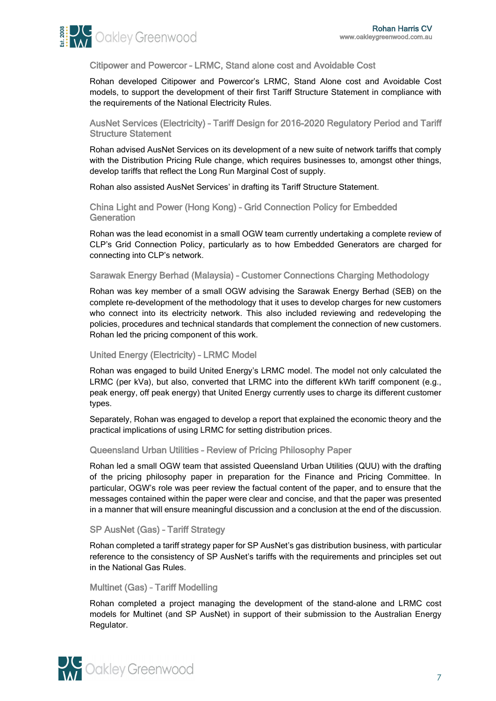

Citipower and Powercor – LRMC, Stand alone cost and Avoidable Cost

Rohan developed Citipower and Powercor's LRMC, Stand Alone cost and Avoidable Cost models, to support the development of their first Tariff Structure Statement in compliance with the requirements of the National Electricity Rules.

AusNet Services (Electricity) – Tariff Design for 2016-2020 Regulatory Period and Tariff Structure Statement

Rohan advised AusNet Services on its development of a new suite of network tariffs that comply with the Distribution Pricing Rule change, which requires businesses to, amongst other things, develop tariffs that reflect the Long Run Marginal Cost of supply.

Rohan also assisted AusNet Services' in drafting its Tariff Structure Statement.

China Light and Power (Hong Kong) – Grid Connection Policy for Embedded **Generation** 

Rohan was the lead economist in a small OGW team currently undertaking a complete review of CLP's Grid Connection Policy, particularly as to how Embedded Generators are charged for connecting into CLP's network.

#### Sarawak Energy Berhad (Malaysia) – Customer Connections Charging Methodology

Rohan was key member of a small OGW advising the Sarawak Energy Berhad (SEB) on the complete re-development of the methodology that it uses to develop charges for new customers who connect into its electricity network. This also included reviewing and redeveloping the policies, procedures and technical standards that complement the connection of new customers. Rohan led the pricing component of this work.

United Energy (Electricity) – LRMC Model

Rohan was engaged to build United Energy's LRMC model. The model not only calculated the LRMC (per kVa), but also, converted that LRMC into the different kWh tariff component (e.g., peak energy, off peak energy) that United Energy currently uses to charge its different customer types.

Separately, Rohan was engaged to develop a report that explained the economic theory and the practical implications of using LRMC for setting distribution prices.

Queensland Urban Utilities – Review of Pricing Philosophy Paper

Rohan led a small OGW team that assisted Queensland Urban Utilities (QUU) with the drafting of the pricing philosophy paper in preparation for the Finance and Pricing Committee. In particular, OGW's role was peer review the factual content of the paper, and to ensure that the messages contained within the paper were clear and concise, and that the paper was presented in a manner that will ensure meaningful discussion and a conclusion at the end of the discussion.

#### SP AusNet (Gas) – Tariff Strategy

Rohan completed a tariff strategy paper for SP AusNet's gas distribution business, with particular reference to the consistency of SP AusNet's tariffs with the requirements and principles set out in the National Gas Rules.

#### Multinet (Gas) – Tariff Modelling

Rohan completed a project managing the development of the stand-alone and LRMC cost models for Multinet (and SP AusNet) in support of their submission to the Australian Energy Regulator.

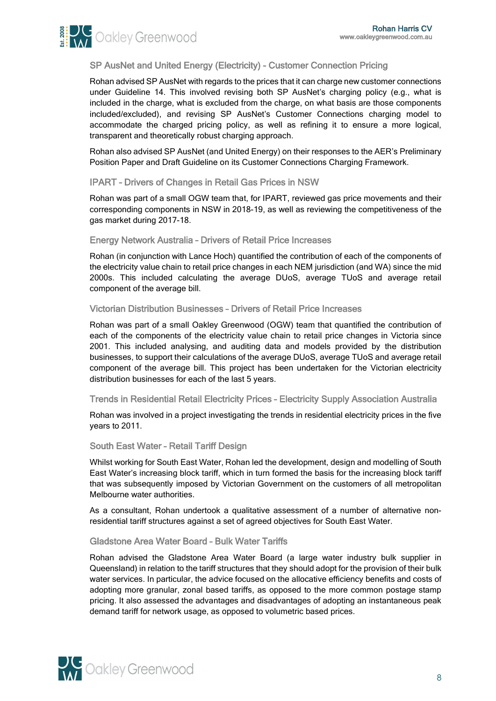**A: UC** Oakley Greenwood

### SP AusNet and United Energy (Electricity) - Customer Connection Pricing

Rohan advised SP AusNet with regards to the prices that it can charge new customer connections under Guideline 14. This involved revising both SP AusNet's charging policy (e.g., what is included in the charge, what is excluded from the charge, on what basis are those components included/excluded), and revising SP AusNet's Customer Connections charging model to accommodate the charged pricing policy, as well as refining it to ensure a more logical, transparent and theoretically robust charging approach.

Rohan also advised SP AusNet (and United Energy) on their responses to the AER's Preliminary Position Paper and Draft Guideline on its Customer Connections Charging Framework.

#### IPART – Drivers of Changes in Retail Gas Prices in NSW

Rohan was part of a small OGW team that, for IPART, reviewed gas price movements and their corresponding components in NSW in 2018-19, as well as reviewing the competitiveness of the gas market during 2017-18.

#### Energy Network Australia – Drivers of Retail Price Increases

Rohan (in conjunction with Lance Hoch) quantified the contribution of each of the components of the electricity value chain to retail price changes in each NEM jurisdiction (and WA) since the mid 2000s. This included calculating the average DUoS, average TUoS and average retail component of the average bill.

#### Victorian Distribution Businesses – Drivers of Retail Price Increases

Rohan was part of a small Oakley Greenwood (OGW) team that quantified the contribution of each of the components of the electricity value chain to retail price changes in Victoria since 2001. This included analysing, and auditing data and models provided by the distribution businesses, to support their calculations of the average DUoS, average TUoS and average retail component of the average bill. This project has been undertaken for the Victorian electricity distribution businesses for each of the last 5 years.

Trends in Residential Retail Electricity Prices – Electricity Supply Association Australia

Rohan was involved in a project investigating the trends in residential electricity prices in the five years to 2011.

#### South East Water – Retail Tariff Design

Whilst working for South East Water, Rohan led the development, design and modelling of South East Water's increasing block tariff, which in turn formed the basis for the increasing block tariff that was subsequently imposed by Victorian Government on the customers of all metropolitan Melbourne water authorities.

As a consultant, Rohan undertook a qualitative assessment of a number of alternative nonresidential tariff structures against a set of agreed objectives for South East Water.

#### Gladstone Area Water Board – Bulk Water Tariffs

Rohan advised the Gladstone Area Water Board (a large water industry bulk supplier in Queensland) in relation to the tariff structures that they should adopt for the provision of their bulk water services. In particular, the advice focused on the allocative efficiency benefits and costs of adopting more granular, zonal based tariffs, as opposed to the more common postage stamp pricing. It also assessed the advantages and disadvantages of adopting an instantaneous peak demand tariff for network usage, as opposed to volumetric based prices.

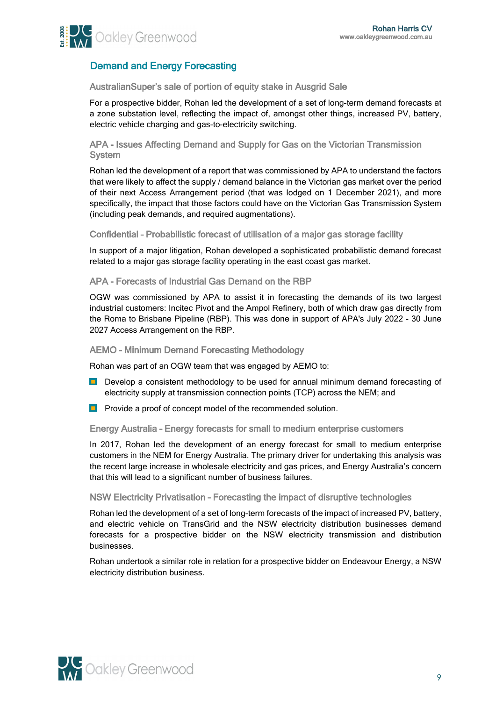**Let Cookley Greenwood** 

# Demand and Energy Forecasting

AustralianSuper's sale of portion of equity stake in Ausgrid Sale

For a prospective bidder, Rohan led the development of a set of long-term demand forecasts at a zone substation level, reflecting the impact of, amongst other things, increased PV, battery, electric vehicle charging and gas-to-electricity switching.

APA - Issues Affecting Demand and Supply for Gas on the Victorian Transmission System

Rohan led the development of a report that was commissioned by APA to understand the factors that were likely to affect the supply / demand balance in the Victorian gas market over the period of their next Access Arrangement period (that was lodged on 1 December 2021), and more specifically, the impact that those factors could have on the Victorian Gas Transmission System (including peak demands, and required augmentations).

Confidential – Probabilistic forecast of utilisation of a major gas storage facility

In support of a major litigation, Rohan developed a sophisticated probabilistic demand forecast related to a major gas storage facility operating in the east coast gas market.

APA - Forecasts of Industrial Gas Demand on the RBP

OGW was commissioned by APA to assist it in forecasting the demands of its two largest industrial customers: Incitec Pivot and the Ampol Refinery, both of which draw gas directly from the Roma to Brisbane Pipeline (RBP). This was done in support of APA's July 2022 - 30 June 2027 Access Arrangement on the RBP.

## AEMO – Minimum Demand Forecasting Methodology

Rohan was part of an OGW team that was engaged by AEMO to:

- Develop a consistent methodology to be used for annual minimum demand forecasting of electricity supply at transmission connection points (TCP) across the NEM; and
- **Provide a proof of concept model of the recommended solution.**

Energy Australia – Energy forecasts for small to medium enterprise customers

In 2017, Rohan led the development of an energy forecast for small to medium enterprise customers in the NEM for Energy Australia. The primary driver for undertaking this analysis was the recent large increase in wholesale electricity and gas prices, and Energy Australia's concern that this will lead to a significant number of business failures.

NSW Electricity Privatisation – Forecasting the impact of disruptive technologies

Rohan led the development of a set of long-term forecasts of the impact of increased PV, battery, and electric vehicle on TransGrid and the NSW electricity distribution businesses demand forecasts for a prospective bidder on the NSW electricity transmission and distribution businesses.

Rohan undertook a similar role in relation for a prospective bidder on Endeavour Energy, a NSW electricity distribution business.

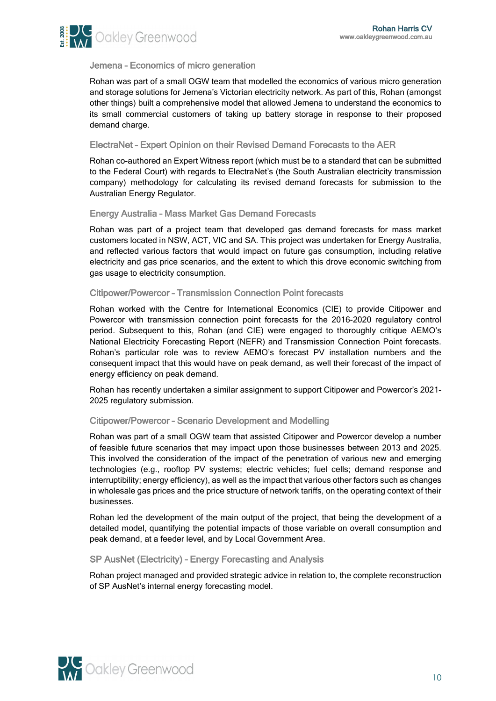

#### Jemena – Economics of micro generation

Rohan was part of a small OGW team that modelled the economics of various micro generation and storage solutions for Jemena's Victorian electricity network. As part of this, Rohan (amongst other things) built a comprehensive model that allowed Jemena to understand the economics to its small commercial customers of taking up battery storage in response to their proposed demand charge.

#### ElectraNet – Expert Opinion on their Revised Demand Forecasts to the AER

Rohan co-authored an Expert Witness report (which must be to a standard that can be submitted to the Federal Court) with regards to ElectraNet's (the South Australian electricity transmission company) methodology for calculating its revised demand forecasts for submission to the Australian Energy Regulator.

#### Energy Australia – Mass Market Gas Demand Forecasts

Rohan was part of a project team that developed gas demand forecasts for mass market customers located in NSW, ACT, VIC and SA. This project was undertaken for Energy Australia, and reflected various factors that would impact on future gas consumption, including relative electricity and gas price scenarios, and the extent to which this drove economic switching from gas usage to electricity consumption.

#### Citipower/Powercor – Transmission Connection Point forecasts

Rohan worked with the Centre for International Economics (CIE) to provide Citipower and Powercor with transmission connection point forecasts for the 2016-2020 regulatory control period. Subsequent to this, Rohan (and CIE) were engaged to thoroughly critique AEMO's National Electricity Forecasting Report (NEFR) and Transmission Connection Point forecasts. Rohan's particular role was to review AEMO's forecast PV installation numbers and the consequent impact that this would have on peak demand, as well their forecast of the impact of energy efficiency on peak demand.

Rohan has recently undertaken a similar assignment to support Citipower and Powercor's 2021- 2025 regulatory submission.

#### Citipower/Powercor – Scenario Development and Modelling

Rohan was part of a small OGW team that assisted Citipower and Powercor develop a number of feasible future scenarios that may impact upon those businesses between 2013 and 2025. This involved the consideration of the impact of the penetration of various new and emerging technologies (e.g., rooftop PV systems; electric vehicles; fuel cells; demand response and interruptibility; energy efficiency), as well as the impact that various other factors such as changes in wholesale gas prices and the price structure of network tariffs, on the operating context of their businesses.

Rohan led the development of the main output of the project, that being the development of a detailed model, quantifying the potential impacts of those variable on overall consumption and peak demand, at a feeder level, and by Local Government Area.

#### SP AusNet (Electricity) – Energy Forecasting and Analysis

Rohan project managed and provided strategic advice in relation to, the complete reconstruction of SP AusNet's internal energy forecasting model.

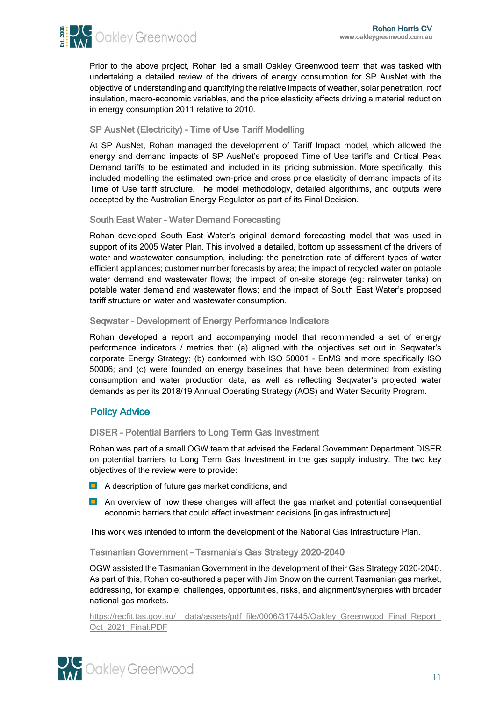

Prior to the above project, Rohan led a small Oakley Greenwood team that was tasked with undertaking a detailed review of the drivers of energy consumption for SP AusNet with the objective of understanding and quantifying the relative impacts of weather, solar penetration, roof insulation, macro-economic variables, and the price elasticity effects driving a material reduction in energy consumption 2011 relative to 2010.

## SP AusNet (Electricity) – Time of Use Tariff Modelling

At SP AusNet, Rohan managed the development of Tariff Impact model, which allowed the energy and demand impacts of SP AusNet's proposed Time of Use tariffs and Critical Peak Demand tariffs to be estimated and included in its pricing submission. More specifically, this included modelling the estimated own-price and cross price elasticity of demand impacts of its Time of Use tariff structure. The model methodology, detailed algorithims, and outputs were accepted by the Australian Energy Regulator as part of its Final Decision.

## South East Water – Water Demand Forecasting

Rohan developed South East Water's original demand forecasting model that was used in support of its 2005 Water Plan. This involved a detailed, bottom up assessment of the drivers of water and wastewater consumption, including: the penetration rate of different types of water efficient appliances; customer number forecasts by area; the impact of recycled water on potable water demand and wastewater flows; the impact of on-site storage (eg: rainwater tanks) on potable water demand and wastewater flows; and the impact of South East Water's proposed tariff structure on water and wastewater consumption.

#### Seqwater – Development of Energy Performance Indicators

Rohan developed a report and accompanying model that recommended a set of energy performance indicators / metrics that: (a) aligned with the objectives set out in Seqwater's corporate Energy Strategy; (b) conformed with ISO 50001 - EnMS and more specifically ISO 50006; and (c) were founded on energy baselines that have been determined from existing consumption and water production data, as well as reflecting Seqwater's projected water demands as per its 2018/19 Annual Operating Strategy (AOS) and Water Security Program.

# Policy Advice

#### DISER – Potential Barriers to Long Term Gas Investment

Rohan was part of a small OGW team that advised the Federal Government Department DISER on potential barriers to Long Term Gas Investment in the gas supply industry. The two key objectives of the review were to provide:

- **A** description of future gas market conditions, and
- **An overview of how these changes will affect the gas market and potential consequential** economic barriers that could affect investment decisions [in gas infrastructure].

This work was intended to inform the development of the National Gas Infrastructure Plan.

Tasmanian Government – Tasmania's Gas Strategy 2020-2040

OGW assisted the Tasmanian Government in the development of their Gas Strategy 2020-2040. As part of this, Rohan co-authored a paper with Jim Snow on the current Tasmanian gas market, addressing, for example: challenges, opportunities, risks, and alignment/synergies with broader national gas markets.

[https://recfit.tas.gov.au/\\_\\_data/assets/pdf\\_file/0006/317445/Oakley\\_Greenwood\\_Final\\_Report\\_](https://recfit.tas.gov.au/__data/assets/pdf_file/0006/317445/Oakley_Greenwood_Final_Report_Oct_2021_Final.PDF) [Oct\\_2021\\_Final.PDF](https://recfit.tas.gov.au/__data/assets/pdf_file/0006/317445/Oakley_Greenwood_Final_Report_Oct_2021_Final.PDF)

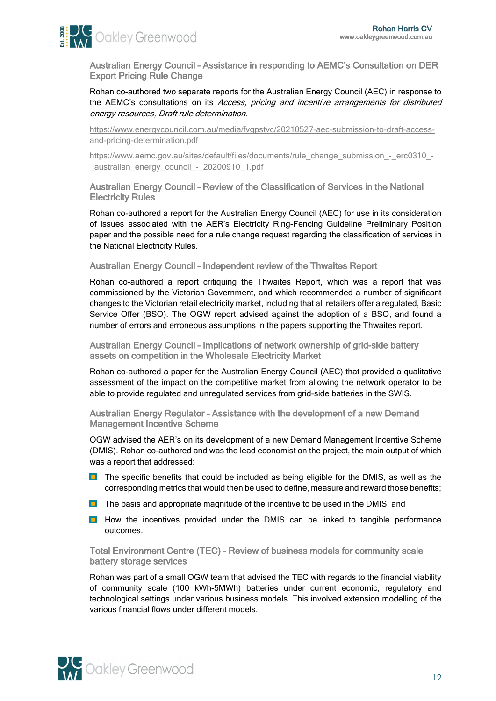

Australian Energy Council – Assistance in responding to AEMC's Consultation on DER Export Pricing Rule Change

Rohan co-authored two separate reports for the Australian Energy Council (AEC) in response to the AEMC's consultations on its Access, pricing and incentive arrangements for distributed energy resources, Draft rule determination.

[https://www.energycouncil.com.au/media/fvgpstvc/20210527-aec-submission-to-draft-access](https://www.energycouncil.com.au/media/fvgpstvc/20210527-aec-submission-to-draft-access-and-pricing-determination.pdf)[and-pricing-determination.pdf](https://www.energycouncil.com.au/media/fvgpstvc/20210527-aec-submission-to-draft-access-and-pricing-determination.pdf)

[https://www.aemc.gov.au/sites/default/files/documents/rule\\_change\\_submission\\_-\\_erc0310\\_-](https://www.aemc.gov.au/sites/default/files/documents/rule_change_submission_-_erc0310_-_australian_energy_council_-_20200910_1.pdf) [\\_australian\\_energy\\_council\\_-\\_20200910\\_1.pdf](https://www.aemc.gov.au/sites/default/files/documents/rule_change_submission_-_erc0310_-_australian_energy_council_-_20200910_1.pdf)

Australian Energy Council – Review of the Classification of Services in the National Electricity Rules

Rohan co-authored a report for the Australian Energy Council (AEC) for use in its consideration of issues associated with the AER's Electricity Ring-Fencing Guideline Preliminary Position paper and the possible need for a rule change request regarding the classification of services in the National Electricity Rules.

Australian Energy Council – Independent review of the Thwaites Report

Rohan co-authored a report critiquing the Thwaites Report, which was a report that was commissioned by the Victorian Government, and which recommended a number of significant changes to the Victorian retail electricity market, including that all retailers offer a regulated, Basic Service Offer (BSO). The OGW report advised against the adoption of a BSO, and found a number of errors and erroneous assumptions in the papers supporting the Thwaites report.

Australian Energy Council – Implications of network ownership of grid-side battery assets on competition in the Wholesale Electricity Market

Rohan co-authored a paper for the Australian Energy Council (AEC) that provided a qualitative assessment of the impact on the competitive market from allowing the network operator to be able to provide regulated and unregulated services from grid-side batteries in the SWIS.

Australian Energy Regulator – Assistance with the development of a new Demand Management Incentive Scheme

OGW advised the AER's on its development of a new Demand Management Incentive Scheme (DMIS). Rohan co-authored and was the lead economist on the project, the main output of which was a report that addressed:

- **The specific benefits that could be included as being eligible for the DMIS, as well as the** corresponding metrics that would then be used to define, measure and reward those benefits;
- **The basis and appropriate magnitude of the incentive to be used in the DMIS; and**
- **How the incentives provided under the DMIS can be linked to tangible performance** outcomes.

Total Environment Centre (TEC) – Review of business models for community scale battery storage services

Rohan was part of a small OGW team that advised the TEC with regards to the financial viability of community scale (100 kWh-5MWh) batteries under current economic, regulatory and technological settings under various business models. This involved extension modelling of the various financial flows under different models.

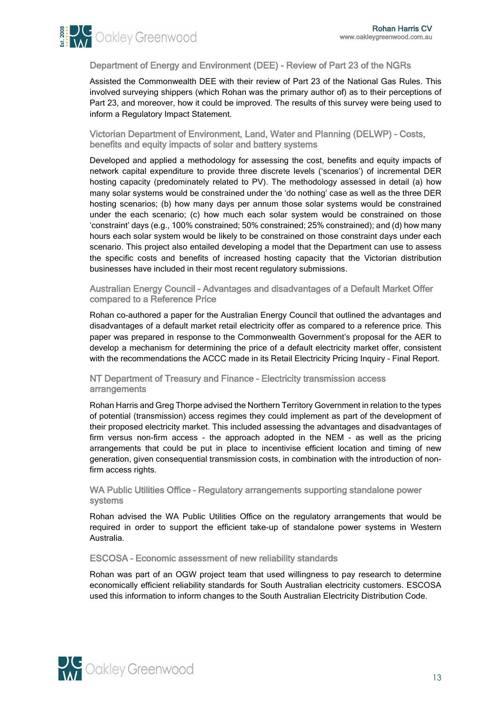

## Department of Energy and Environment (DEE) - Review of Part 23 of the NGRs

Assisted the Commonwealth DEE with their review of Part 23 of the National Gas Rules. This involved surveying shippers (which Rohan was the primary author of) as to their perceptions of Part 23, and moreover, how it could be improved. The results of this survey were being used to inform a Regulatory Impact Statement.

Victorian Department of Environment, Land, Water and Planning (DELWP) – Costs, benefits and equity impacts of solar and battery systems

Developed and applied a methodology for assessing the cost, benefits and equity impacts of network capital expenditure to provide three discrete levels ('scenarios') of incremental DER hosting capacity (predominately related to PV). The methodology assessed in detail (a) how many solar systems would be constrained under the 'do nothing' case as well as the three DER hosting scenarios; (b) how many days per annum those solar systems would be constrained under the each scenario; (c) how much each solar system would be constrained on those 'constraint' days (e.g., 100% constrained; 50% constrained; 25% constrained); and (d) how many hours each solar system would be likely to be constrained on those constraint days under each scenario. This project also entailed developing a model that the Department can use to assess the specific costs and benefits of increased hosting capacity that the Victorian distribution businesses have included in their most recent regulatory submissions.

Australian Energy Council – Advantages and disadvantages of a Default Market Offer compared to a Reference Price

Rohan co-authored a paper for the Australian Energy Council that outlined the advantages and disadvantages of a default market retail electricity offer as compared to a reference price. This paper was prepared in response to the Commonwealth Government's proposal for the AER to develop a mechanism for determining the price of a default electricity market offer, consistent with the recommendations the ACCC made in its Retail Electricity Pricing Inquiry – Final Report.

NT Department of Treasury and Finance – Electricity transmission access arrangements

Rohan Harris and Greg Thorpe advised the Northern Territory Government in relation to the types of potential (transmission) access regimes they could implement as part of the development of their proposed electricity market. This included assessing the advantages and disadvantages of firm versus non-firm access - the approach adopted in the NEM - as well as the pricing arrangements that could be put in place to incentivise efficient location and timing of new generation, given consequential transmission costs, in combination with the introduction of nonfirm access rights.

WA Public Utilities Office – Regulatory arrangements supporting standalone power systems

Rohan advised the WA Public Utilities Office on the regulatory arrangements that would be required in order to support the efficient take-up of standalone power systems in Western Australia.

ESCOSA – Economic assessment of new reliability standards

Rohan was part of an OGW project team that used willingness to pay research to determine economically efficient reliability standards for South Australian electricity customers. ESCOSA used this information to inform changes to the South Australian Electricity Distribution Code.

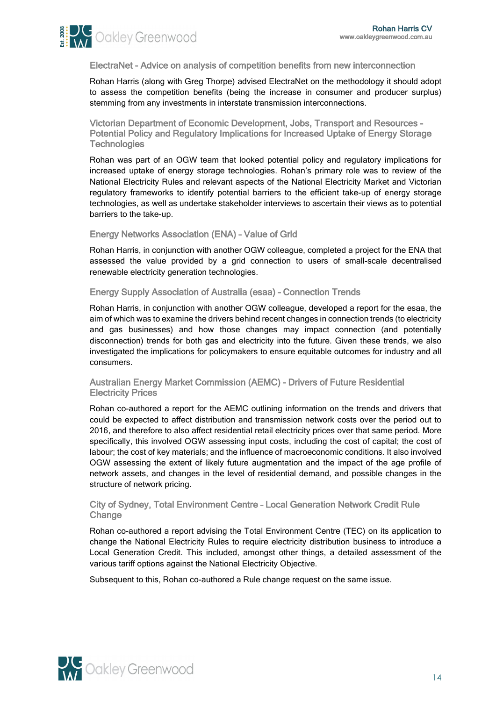

### ElectraNet - Advice on analysis of competition benefits from new interconnection

Rohan Harris (along with Greg Thorpe) advised ElectraNet on the methodology it should adopt to assess the competition benefits (being the increase in consumer and producer surplus) stemming from any investments in interstate transmission interconnections.

Victorian Department of Economic Development, Jobs, Transport and Resources - Potential Policy and Regulatory Implications for Increased Uptake of Energy Storage **Technologies** 

Rohan was part of an OGW team that looked potential policy and regulatory implications for increased uptake of energy storage technologies. Rohan's primary role was to review of the National Electricity Rules and relevant aspects of the National Electricity Market and Victorian regulatory frameworks to identify potential barriers to the efficient take-up of energy storage technologies, as well as undertake stakeholder interviews to ascertain their views as to potential barriers to the take-up.

## Energy Networks Association (ENA) – Value of Grid

Rohan Harris, in conjunction with another OGW colleague, completed a project for the ENA that assessed the value provided by a grid connection to users of small-scale decentralised renewable electricity generation technologies.

#### Energy Supply Association of Australia (esaa) – Connection Trends

Rohan Harris, in conjunction with another OGW colleague, developed a report for the esaa, the aim of which was to examine the drivers behind recent changes in connection trends (to electricity and gas businesses) and how those changes may impact connection (and potentially disconnection) trends for both gas and electricity into the future. Given these trends, we also investigated the implications for policymakers to ensure equitable outcomes for industry and all consumers.

#### Australian Energy Market Commission (AEMC) – Drivers of Future Residential Electricity Prices

Rohan co-authored a report for the AEMC outlining information on the trends and drivers that could be expected to affect distribution and transmission network costs over the period out to 2016, and therefore to also affect residential retail electricity prices over that same period. More specifically, this involved OGW assessing input costs, including the cost of capital; the cost of labour; the cost of key materials; and the influence of macroeconomic conditions. It also involved OGW assessing the extent of likely future augmentation and the impact of the age profile of network assets, and changes in the level of residential demand, and possible changes in the structure of network pricing.

## City of Sydney, Total Environment Centre – Local Generation Network Credit Rule **Change**

Rohan co-authored a report advising the Total Environment Centre (TEC) on its application to change the National Electricity Rules to require electricity distribution business to introduce a Local Generation Credit. This included, amongst other things, a detailed assessment of the various tariff options against the National Electricity Objective.

Subsequent to this, Rohan co-authored a Rule change request on the same issue.

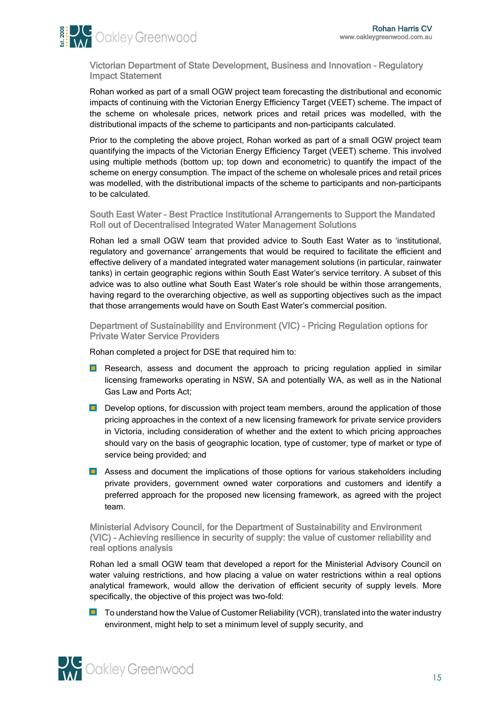**EDU** Oakley Greenwood

Victorian Department of State Development, Business and Innovation – Regulatory Impact Statement

Rohan worked as part of a small OGW project team forecasting the distributional and economic impacts of continuing with the Victorian Energy Efficiency Target (VEET) scheme. The impact of the scheme on wholesale prices, network prices and retail prices was modelled, with the distributional impacts of the scheme to participants and non-participants calculated.

Prior to the completing the above project, Rohan worked as part of a small OGW project team quantifying the impacts of the Victorian Energy Efficiency Target (VEET) scheme. This involved using multiple methods (bottom up; top down and econometric) to quantify the impact of the scheme on energy consumption. The impact of the scheme on wholesale prices and retail prices was modelled, with the distributional impacts of the scheme to participants and non-participants to be calculated.

South East Water – Best Practice Institutional Arrangements to Support the Mandated Roll out of Decentralised Integrated Water Management Solutions

Rohan led a small OGW team that provided advice to South East Water as to 'institutional, regulatory and governance' arrangements that would be required to facilitate the efficient and effective delivery of a mandated integrated water management solutions (in particular, rainwater tanks) in certain geographic regions within South East Water's service territory. A subset of this advice was to also outline what South East Water's role should be within those arrangements, having regard to the overarching objective, as well as supporting objectives such as the impact that those arrangements would have on South East Water's commercial position.

Department of Sustainability and Environment (VIC) - Pricing Regulation options for Private Water Service Providers

Rohan completed a project for DSE that required him to:

- **Research, assess and document the approach to pricing regulation applied in similar** licensing frameworks operating in NSW, SA and potentially WA, as well as in the National Gas Law and Ports Act;
- **D** Develop options, for discussion with project team members, around the application of those pricing approaches in the context of a new licensing framework for private service providers in Victoria, including consideration of whether and the extent to which pricing approaches should vary on the basis of geographic location, type of customer, type of market or type of service being provided; and
- **Assess and document the implications of those options for various stakeholders including** private providers, government owned water corporations and customers and identify a preferred approach for the proposed new licensing framework, as agreed with the project team.

Ministerial Advisory Council, for the Department of Sustainability and Environment (VIC) – Achieving resilience in security of supply: the value of customer reliability and real options analysis

Rohan led a small OGW team that developed a report for the Ministerial Advisory Council on water valuing restrictions, and how placing a value on water restrictions within a real options analytical framework, would allow the derivation of efficient security of supply levels. More specifically, the objective of this project was two-fold:

 $\Box$  To understand how the Value of Customer Reliability (VCR), translated into the water industry environment, might help to set a minimum level of supply security, and

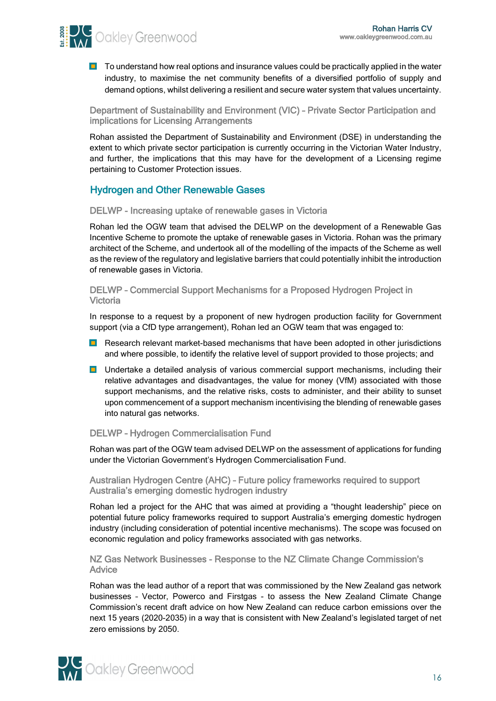**Let Cookley Greenwood** 

 $\Box$  To understand how real options and insurance values could be practically applied in the water industry, to maximise the net community benefits of a diversified portfolio of supply and demand options, whilst delivering a resilient and secure water system that values uncertainty.

Department of Sustainability and Environment (VIC) – Private Sector Participation and implications for Licensing Arrangements

Rohan assisted the Department of Sustainability and Environment (DSE) in understanding the extent to which private sector participation is currently occurring in the Victorian Water Industry, and further, the implications that this may have for the development of a Licensing regime pertaining to Customer Protection issues.

# Hydrogen and Other Renewable Gases

DELWP - Increasing uptake of renewable gases in Victoria

Rohan led the OGW team that advised the DELWP on the development of a Renewable Gas Incentive Scheme to promote the uptake of renewable gases in Victoria. Rohan was the primary architect of the Scheme, and undertook all of the modelling of the impacts of the Scheme as well as the review of the regulatory and legislative barriers that could potentially inhibit the introduction of renewable gases in Victoria.

DELWP – Commercial Support Mechanisms for a Proposed Hydrogen Project in Victoria

In response to a request by a proponent of new hydrogen production facility for Government support (via a CfD type arrangement), Rohan led an OGW team that was engaged to:

- **Research relevant market-based mechanisms that have been adopted in other jurisdictions** and where possible, to identify the relative level of support provided to those projects; and
- **Undertake a detailed analysis of various commercial support mechanisms, including their** relative advantages and disadvantages, the value for money (VfM) associated with those support mechanisms, and the relative risks, costs to administer, and their ability to sunset upon commencement of a support mechanism incentivising the blending of renewable gases into natural gas networks.

## DELWP – Hydrogen Commercialisation Fund

Rohan was part of the OGW team advised DELWP on the assessment of applications for funding under the Victorian Government's Hydrogen Commercialisation Fund.

Australian Hydrogen Centre (AHC) – Future policy frameworks required to support Australia's emerging domestic hydrogen industry

Rohan led a project for the AHC that was aimed at providing a "thought leadership" piece on potential future policy frameworks required to support Australia's emerging domestic hydrogen industry (including consideration of potential incentive mechanisms). The scope was focused on economic regulation and policy frameworks associated with gas networks.

NZ Gas Network Businesses - Response to the NZ Climate Change Commission's Advice

Rohan was the lead author of a report that was commissioned by the New Zealand gas network businesses – Vector, Powerco and Firstgas - to assess the New Zealand Climate Change Commission's recent draft advice on how New Zealand can reduce carbon emissions over the next 15 years (2020-2035) in a way that is consistent with New Zealand's legislated target of net zero emissions by 2050.

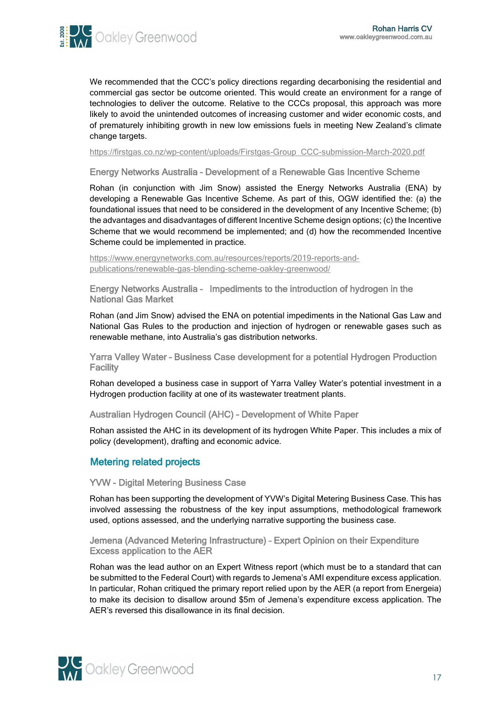

We recommended that the CCC's policy directions regarding decarbonising the residential and commercial gas sector be outcome oriented. This would create an environment for a range of technologies to deliver the outcome. Relative to the CCCs proposal, this approach was more likely to avoid the unintended outcomes of increasing customer and wider economic costs, and of prematurely inhibiting growth in new low emissions fuels in meeting New Zealand's climate change targets.

[https://firstgas.co.nz/wp-content/uploads/Firstgas-Group\\_CCC-submission-March-2020.pdf](https://firstgas.co.nz/wp-content/uploads/Firstgas-Group_CCC-submission-March-2020.pdf)

Energy Networks Australia – Development of a Renewable Gas Incentive Scheme

Rohan (in conjunction with Jim Snow) assisted the Energy Networks Australia (ENA) by developing a Renewable Gas Incentive Scheme. As part of this, OGW identified the: (a) the foundational issues that need to be considered in the development of any Incentive Scheme; (b) the advantages and disadvantages of different Incentive Scheme design options; (c) the Incentive Scheme that we would recommend be implemented; and (d) how the recommended Incentive Scheme could be implemented in practice.

[https://www.energynetworks.com.au/resources/reports/2019-reports-and](https://www.energynetworks.com.au/resources/reports/2019-reports-and-publications/renewable-gas-blending-scheme-oakley-greenwood/)[publications/renewable-gas-blending-scheme-oakley-greenwood/](https://www.energynetworks.com.au/resources/reports/2019-reports-and-publications/renewable-gas-blending-scheme-oakley-greenwood/)

Energy Networks Australia – Impediments to the introduction of hydrogen in the National Gas Market

Rohan (and Jim Snow) advised the ENA on potential impediments in the National Gas Law and National Gas Rules to the production and injection of hydrogen or renewable gases such as renewable methane, into Australia's gas distribution networks.

Yarra Valley Water – Business Case development for a potential Hydrogen Production **Facility** 

Rohan developed a business case in support of Yarra Valley Water's potential investment in a Hydrogen production facility at one of its wastewater treatment plants.

Australian Hydrogen Council (AHC) – Development of White Paper

Rohan assisted the AHC in its development of its hydrogen White Paper. This includes a mix of policy (development), drafting and economic advice.

# Metering related projects

#### YVW - Digital Metering Business Case

Rohan has been supporting the development of YVW's Digital Metering Business Case. This has involved assessing the robustness of the key input assumptions, methodological framework used, options assessed, and the underlying narrative supporting the business case.

Jemena (Advanced Metering Infrastructure) – Expert Opinion on their Expenditure Excess application to the AER

Rohan was the lead author on an Expert Witness report (which must be to a standard that can be submitted to the Federal Court) with regards to Jemena's AMI expenditure excess application. In particular, Rohan critiqued the primary report relied upon by the AER (a report from Energeia) to make its decision to disallow around \$5m of Jemena's expenditure excess application. The AER's reversed this disallowance in its final decision.

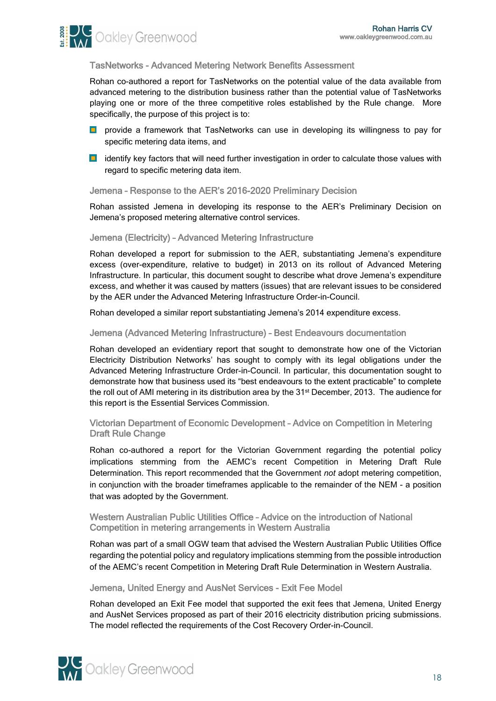

## TasNetworks - Advanced Metering Network Benefits Assessment

Rohan co-authored a report for TasNetworks on the potential value of the data available from advanced metering to the distribution business rather than the potential value of TasNetworks playing one or more of the three competitive roles established by the Rule change. More specifically, the purpose of this project is to:

- **D** provide a framework that TasNetworks can use in developing its willingness to pay for specific metering data items, and
- $\Box$  identify key factors that will need further investigation in order to calculate those values with regard to specific metering data item.

#### Jemena – Response to the AER's 2016-2020 Preliminary Decision

Rohan assisted Jemena in developing its response to the AER's Preliminary Decision on Jemena's proposed metering alternative control services.

#### Jemena (Electricity) – Advanced Metering Infrastructure

Rohan developed a report for submission to the AER, substantiating Jemena's expenditure excess (over-expenditure, relative to budget) in 2013 on its rollout of Advanced Metering Infrastructure. In particular, this document sought to describe what drove Jemena's expenditure excess, and whether it was caused by matters (issues) that are relevant issues to be considered by the AER under the Advanced Metering Infrastructure Order-in-Council.

Rohan developed a similar report substantiating Jemena's 2014 expenditure excess.

#### Jemena (Advanced Metering Infrastructure) – Best Endeavours documentation

Rohan developed an evidentiary report that sought to demonstrate how one of the Victorian Electricity Distribution Networks' has sought to comply with its legal obligations under the Advanced Metering Infrastructure Order-in-Council. In particular, this documentation sought to demonstrate how that business used its "best endeavours to the extent practicable" to complete the roll out of AMI metering in its distribution area by the 31<sup>st</sup> December, 2013. The audience for this report is the Essential Services Commission.

Victorian Department of Economic Development – Advice on Competition in Metering Draft Rule Change

Rohan co-authored a report for the Victorian Government regarding the potential policy implications stemming from the AEMC's recent Competition in Metering Draft Rule Determination. This report recommended that the Government *not* adopt metering competition, in conjunction with the broader timeframes applicable to the remainder of the NEM - a position that was adopted by the Government.

## Western Australian Public Utilities Office – Advice on the introduction of National Competition in metering arrangements in Western Australia

Rohan was part of a small OGW team that advised the Western Australian Public Utilities Office regarding the potential policy and regulatory implications stemming from the possible introduction of the AEMC's recent Competition in Metering Draft Rule Determination in Western Australia.

#### Jemena, United Energy and AusNet Services - Exit Fee Model

Rohan developed an Exit Fee model that supported the exit fees that Jemena, United Energy and AusNet Services proposed as part of their 2016 electricity distribution pricing submissions. The model reflected the requirements of the Cost Recovery Order-in-Council.

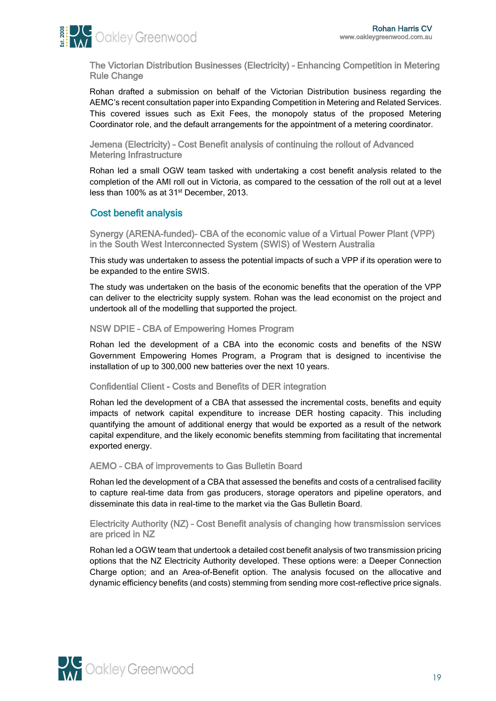

The Victorian Distribution Businesses (Electricity) – Enhancing Competition in Metering Rule Change

Rohan drafted a submission on behalf of the Victorian Distribution business regarding the AEMC's recent consultation paper into Expanding Competition in Metering and Related Services. This covered issues such as Exit Fees, the monopoly status of the proposed Metering Coordinator role, and the default arrangements for the appointment of a metering coordinator.

Jemena (Electricity) – Cost Benefit analysis of continuing the rollout of Advanced Metering Infrastructure

Rohan led a small OGW team tasked with undertaking a cost benefit analysis related to the completion of the AMI roll out in Victoria, as compared to the cessation of the roll out at a level less than 100% as at 31st December, 2013.

# Cost benefit analysis

Synergy (ARENA-funded)– CBA of the economic value of a Virtual Power Plant (VPP) in the South West Interconnected System (SWIS) of Western Australia

This study was undertaken to assess the potential impacts of such a VPP if its operation were to be expanded to the entire SWIS.

The study was undertaken on the basis of the economic benefits that the operation of the VPP can deliver to the electricity supply system. Rohan was the lead economist on the project and undertook all of the modelling that supported the project.

#### NSW DPIE – CBA of Empowering Homes Program

Rohan led the development of a CBA into the economic costs and benefits of the NSW Government Empowering Homes Program, a Program that is designed to incentivise the installation of up to 300,000 new batteries over the next 10 years.

#### Confidential Client - Costs and Benefits of DER integration

Rohan led the development of a CBA that assessed the incremental costs, benefits and equity impacts of network capital expenditure to increase DER hosting capacity. This including quantifying the amount of additional energy that would be exported as a result of the network capital expenditure, and the likely economic benefits stemming from facilitating that incremental exported energy.

#### AEMO – CBA of improvements to Gas Bulletin Board

Rohan led the development of a CBA that assessed the benefits and costs of a centralised facility to capture real-time data from gas producers, storage operators and pipeline operators, and disseminate this data in real-time to the market via the Gas Bulletin Board.

Electricity Authority (NZ) – Cost Benefit analysis of changing how transmission services are priced in NZ

Rohan led a OGW team that undertook a detailed cost benefit analysis of two transmission pricing options that the NZ Electricity Authority developed. These options were: a Deeper Connection Charge option; and an Area-of-Benefit option. The analysis focused on the allocative and dynamic efficiency benefits (and costs) stemming from sending more cost-reflective price signals.

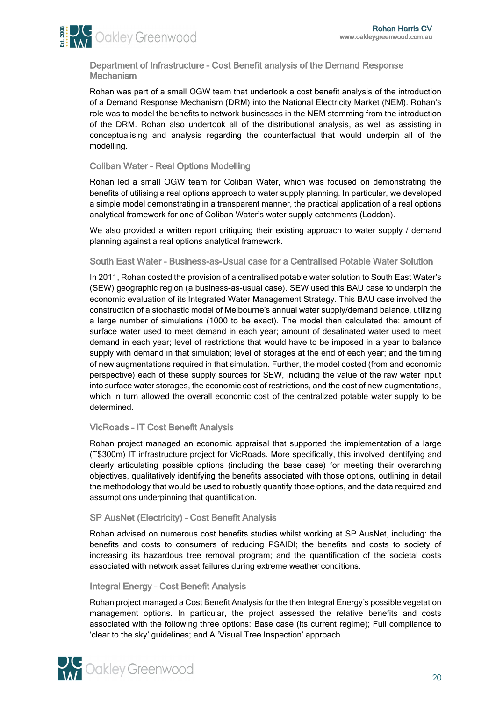Department of Infrastructure – Cost Benefit analysis of the Demand Response **Mechanism** 

Rohan was part of a small OGW team that undertook a cost benefit analysis of the introduction of a Demand Response Mechanism (DRM) into the National Electricity Market (NEM). Rohan's role was to model the benefits to network businesses in the NEM stemming from the introduction of the DRM. Rohan also undertook all of the distributional analysis, as well as assisting in conceptualising and analysis regarding the counterfactual that would underpin all of the modelling.

#### Coliban Water – Real Options Modelling

Rohan led a small OGW team for Coliban Water, which was focused on demonstrating the benefits of utilising a real options approach to water supply planning. In particular, we developed a simple model demonstrating in a transparent manner, the practical application of a real options analytical framework for one of Coliban Water's water supply catchments (Loddon).

We also provided a written report critiquing their existing approach to water supply / demand planning against a real options analytical framework.

## South East Water – Business-as-Usual case for a Centralised Potable Water Solution

In 2011, Rohan costed the provision of a centralised potable water solution to South East Water's (SEW) geographic region (a business-as-usual case). SEW used this BAU case to underpin the economic evaluation of its Integrated Water Management Strategy. This BAU case involved the construction of a stochastic model of Melbourne's annual water supply/demand balance, utilizing a large number of simulations (1000 to be exact). The model then calculated the: amount of surface water used to meet demand in each year; amount of desalinated water used to meet demand in each year; level of restrictions that would have to be imposed in a year to balance supply with demand in that simulation; level of storages at the end of each year; and the timing of new augmentations required in that simulation. Further, the model costed (from and economic perspective) each of these supply sources for SEW, including the value of the raw water input into surface water storages, the economic cost of restrictions, and the cost of new augmentations, which in turn allowed the overall economic cost of the centralized potable water supply to be determined.

## VicRoads – IT Cost Benefit Analysis

Rohan project managed an economic appraisal that supported the implementation of a large (~\$300m) IT infrastructure project for VicRoads. More specifically, this involved identifying and clearly articulating possible options (including the base case) for meeting their overarching objectives, qualitatively identifying the benefits associated with those options, outlining in detail the methodology that would be used to robustly quantify those options, and the data required and assumptions underpinning that quantification.

#### SP AusNet (Electricity) – Cost Benefit Analysis

Rohan advised on numerous cost benefits studies whilst working at SP AusNet, including: the benefits and costs to consumers of reducing PSAIDI; the benefits and costs to society of increasing its hazardous tree removal program; and the quantification of the societal costs associated with network asset failures during extreme weather conditions.

#### Integral Energy – Cost Benefit Analysis

Rohan project managed a Cost Benefit Analysis for the then Integral Energy's possible vegetation management options. In particular, the project assessed the relative benefits and costs associated with the following three options: Base case (its current regime); Full compliance to 'clear to the sky' guidelines; and A 'Visual Tree Inspection' approach.

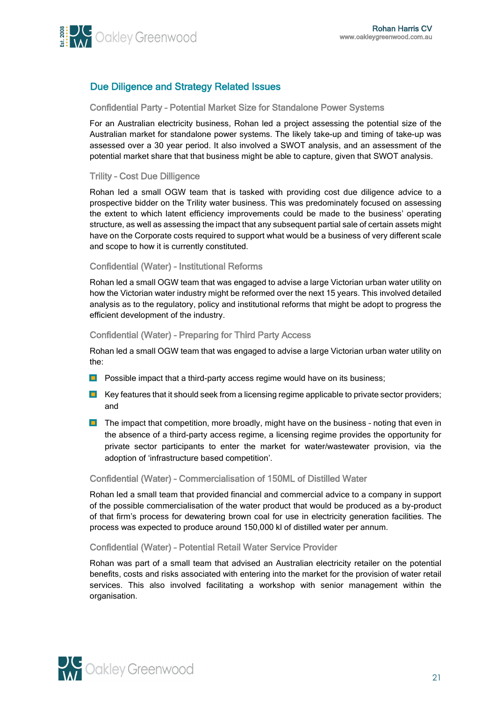

# Due Diligence and Strategy Related Issues

Confidential Party – Potential Market Size for Standalone Power Systems

For an Australian electricity business, Rohan led a project assessing the potential size of the Australian market for standalone power systems. The likely take-up and timing of take-up was assessed over a 30 year period. It also involved a SWOT analysis, and an assessment of the potential market share that that business might be able to capture, given that SWOT analysis.

#### Trility – Cost Due Dilligence

Rohan led a small OGW team that is tasked with providing cost due diligence advice to a prospective bidder on the Trility water business. This was predominately focused on assessing the extent to which latent efficiency improvements could be made to the business' operating structure, as well as assessing the impact that any subsequent partial sale of certain assets might have on the Corporate costs required to support what would be a business of very different scale and scope to how it is currently constituted.

#### Confidential (Water) – Institutional Reforms

Rohan led a small OGW team that was engaged to advise a large Victorian urban water utility on how the Victorian water industry might be reformed over the next 15 years. This involved detailed analysis as to the regulatory, policy and institutional reforms that might be adopt to progress the efficient development of the industry.

#### Confidential (Water) – Preparing for Third Party Access

Rohan led a small OGW team that was engaged to advise a large Victorian urban water utility on the:

- **P** Possible impact that a third-party access regime would have on its business;
- $\Box$  Key features that it should seek from a licensing regime applicable to private sector providers; and
- **The impact that competition, more broadly, might have on the business noting that even in** the absence of a third-party access regime, a licensing regime provides the opportunity for private sector participants to enter the market for water/wastewater provision, via the adoption of 'infrastructure based competition'.

## Confidential (Water) – Commercialisation of 150ML of Distilled Water

Rohan led a small team that provided financial and commercial advice to a company in support of the possible commercialisation of the water product that would be produced as a by-product of that firm's process for dewatering brown coal for use in electricity generation facilities. The process was expected to produce around 150,000 kl of distilled water per annum.

#### Confidential (Water) – Potential Retail Water Service Provider

Rohan was part of a small team that advised an Australian electricity retailer on the potential benefits, costs and risks associated with entering into the market for the provision of water retail services. This also involved facilitating a workshop with senior management within the organisation.